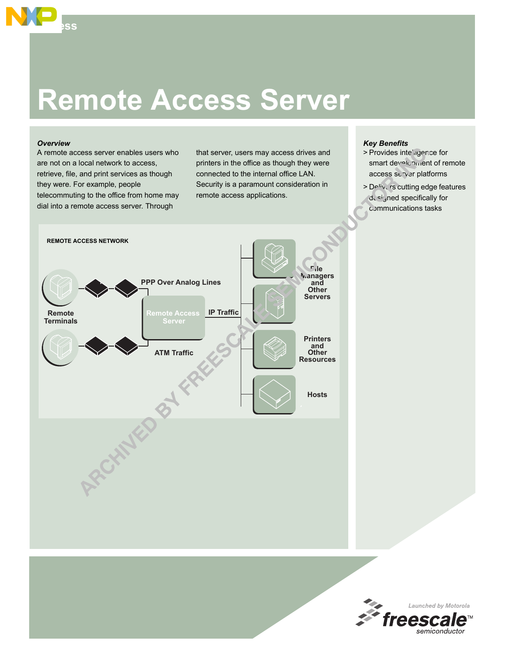# **Remote Access Server**

### *Overview*

**Access**

A remote access server enables users who are not on a local network to access, retrieve, file, and print services as though they were. For example, people telecommuting to the office from home may dial into a remote access server. Through

that server, users may access drives and printers in the office as though they were connected to the internal office LAN. Security is a paramount consideration in remote access applications.

# *Key Benefits*

- > Provides inte'agence for smart development of remote access server platforms
- > Delivers cutting edge features designed specifically for communications tasks



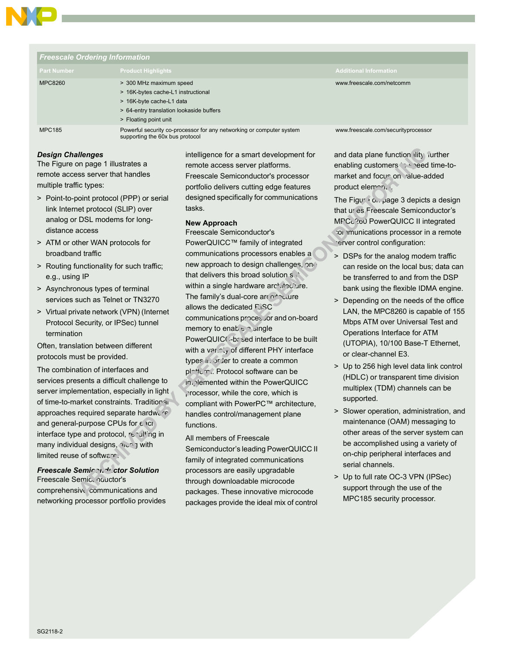

| <b>Freescale Ordering Information</b> |                                                                                                                                                                |                                     |
|---------------------------------------|----------------------------------------------------------------------------------------------------------------------------------------------------------------|-------------------------------------|
| <b>Part Number</b>                    | <b>Product Highlights</b>                                                                                                                                      | <b>Additional Information</b>       |
| <b>MPC8260</b>                        | > 300 MHz maximum speed<br>> 16K-bytes cache-L1 instructional<br>> 16K-byte cache-L1 data<br>> 64-entry translation lookaside buffers<br>> Floating point unit | www.freescale.com/netcomm           |
| <b>MPC185</b>                         | Powerful security co-processor for any networking or computer system<br>supporting the 60x bus protocol                                                        | www.freescale.com/securityprocessor |

## *Design Challenges*

The Figure on page 1 illustrates a remote access server that handles multiple traffic types:

- > Point-to-point protocol (PPP) or serial link Internet protocol (SLIP) over analog or DSL modems for longdistance access
- > ATM or other WAN protocols for broadband traffic
- > Routing functionality for such traffic; e.g., using IP
- > Asynchronous types of terminal services such as Telnet or TN3270
- > Virtual private network (VPN) (Internet Protocol Security, or IPSec) tunnel termination

Often, translation between different protocols must be provided.

The combination of interfaces and services presents a difficult challenge to server implementation, especially in light of time-to-market constraints. Traditional approaches required separate hardware and general-purpose CPUs for  $\epsilon$  act interface type and protocol, resulting in many individual designs, and my with limited reuse of software.

*Freescale Semiron* ductor Solution Freescale Semiconductor's comprehensive communications and networking processor portfolio provides intelligence for a smart development for remote access server platforms. Freescale Semiconductor's processor portfolio delivers cutting edge features designed specifically for communications tasks.

# **New Approach**

Freescale Semiconductor's PowerQUICC™ family of integrated communications processors enables a new approach to design challenges, one that delivers this broad solution set within a single hardware architecture. The family's dual-core architecture allows the dedicated RISC communications processor and on-board memory to enable  $\gamma$  single PowerQUICC-based interface to be built with a variety of different PHY interface types in order to create a common platterm. Protocol software can be in, lemented within the PowerQUICC processor, while the core, which is compliant with PowerPC™ architecture, handles control/management plane functions.

All members of Freescale Semiconductor's leading PowerQUICC II family of integrated communications processors are easily upgradable through downloadable microcode packages. These innovative microcode packages provide the ideal mix of control and data plane function lity, further enabling customers to speed time-tomarket and focus on value-added product elements.

The Figure on page 3 depicts a design that uses Freescale Semiconductor's MPC<sub>2</sub>?60 PowerQUICC II integrated communications processor in a remote erver control configuration:

- > DSPs for the analog modem traffic can reside on the local bus; data can be transferred to and from the DSP bank using the flexible IDMA engine.
- > Depending on the needs of the office LAN, the MPC8260 is capable of 155 Mbps ATM over Universal Test and Operations Interface for ATM (UTOPIA), 10/100 Base-T Ethernet, or clear-channel E3.
- > Up to 256 high level data link control (HDLC) or transparent time division multiplex (TDM) channels can be supported.
- > Slower operation, administration, and maintenance (OAM) messaging to other areas of the server system can be accomplished using a variety of on-chip peripheral interfaces and serial channels.
- > Up to full rate OC-3 VPN (IPSec) support through the use of the MPC185 security processor.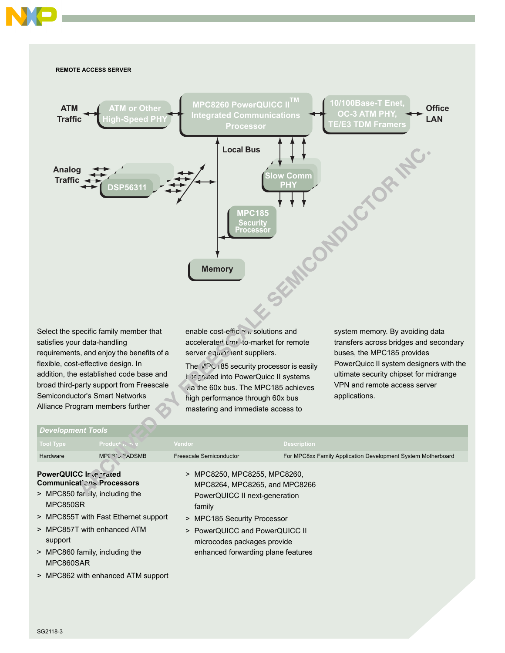



Select the specific family member that satisfies your data-handling requirements, and enjoy the benefits of a flexible, cost-effective design. In addition, the established code base and broad third-party support from Freescale Semiconductor's Smart Networks Alliance Program members further

enable cost-efficient solutions and accelerated time-to-market for remote server equipment suppliers.

The MPC185 security processor is easily integrated into PowerQuicc II systems via the 60x bus. The MPC185 achieves high performance through 60x bus mastering and immediate access to

system memory. By avoiding data transfers across bridges and secondary buses, the MPC185 provides PowerQuicc II system designers with the ultimate security chipset for midrange VPN and remote access server applications.

### *Development Tools*

| <b>Tool Type</b>                                                                                                                                                                           | Product is the                         | Vendor                                                                                                                                                                                                                                            | <b>Description</b>                                           |
|--------------------------------------------------------------------------------------------------------------------------------------------------------------------------------------------|----------------------------------------|---------------------------------------------------------------------------------------------------------------------------------------------------------------------------------------------------------------------------------------------------|--------------------------------------------------------------|
| Hardware                                                                                                                                                                                   | MPC <sup>Q</sup> ' <sub>V</sub> EADSMB | Freescale Semiconductor                                                                                                                                                                                                                           | For MPC8xx Family Application Development System Motherboard |
| PowerQUICC Ir @ Trated<br>Communications Processors<br>> MPC850 farily, including the<br>MPC850SR<br>> MPC857T with enhanced ATM<br>support<br>> MPC860 family, including the<br>MPC860SAR | > MPC855T with Fast Ethernet support   | MPC8250, MPC8255, MPC8260,<br>><br>MPC8264, MPC8265, and MPC8266<br>PowerQUICC II next-generation<br>family<br>> MPC185 Security Processor<br>> PowerQUICC and PowerQUICC II<br>microcodes packages provide<br>enhanced forwarding plane features |                                                              |
|                                                                                                                                                                                            | > MPC862 with enhanced ATM support     |                                                                                                                                                                                                                                                   |                                                              |